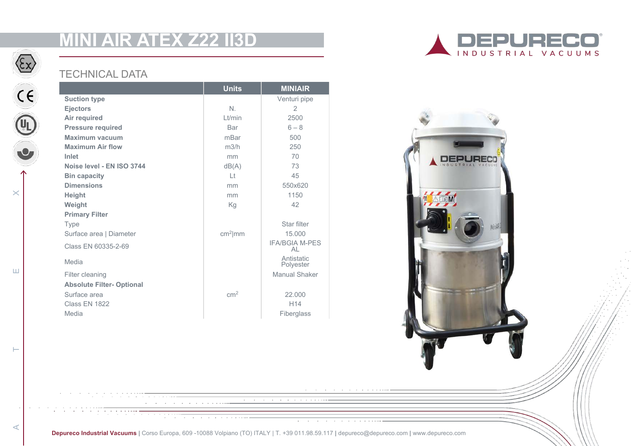# **MINI AIR ATEX Z22 II3D**



ATE LET T

 $\vdash$ 

 $\prec$ 

 $\sqcup$ 

 $\times$ 

## TECHNICAL DATA

|                                  | <b>Units</b>    | <b>MINIAIR</b>              |
|----------------------------------|-----------------|-----------------------------|
| <b>Suction type</b>              |                 | Venturi pipe                |
| <b>Ejectors</b>                  | $N_{\cdot}$     | 2                           |
| Air required                     | $L$ t/min       | 2500                        |
| <b>Pressure required</b>         | Bar             | $6 - 8$                     |
| Maximum vacuum                   | mBar            | 500                         |
| <b>Maximum Air flow</b>          | m3/h            | 250                         |
| Inlet                            | mm              | 70                          |
| Noise level - EN ISO 3744        | dB(A)           | 73                          |
| <b>Bin capacity</b>              | $  +$           | 45                          |
| <b>Dimensions</b>                | mm              | 550x620                     |
| <b>Height</b>                    | mm              | 1150                        |
| Weight                           | Kg              | 42                          |
| <b>Primary Filter</b>            |                 |                             |
| <b>Type</b>                      |                 | Star filter                 |
| Surface area   Diameter          | $cm2$ mm        | 15,000                      |
| Class EN 60335-2-69              |                 | <b>IFA/BGIA M-PES</b><br>AL |
| Media                            |                 | Antistatic<br>Polyester     |
| Filter cleaning                  |                 | Manual Shaker               |
| <b>Absolute Filter- Optional</b> |                 |                             |
| Surface area                     | cm <sup>2</sup> | 22.000                      |
| Class EN 1822                    |                 | H <sub>14</sub>             |
| Media                            |                 | Fiberglass                  |





**Depureco Industrial Vacuums |** Corso Europa, 609 -10088 Volpiano (TO) ITALY | T. +39 011.98.59.117 **|** depureco@depureco.com **|** www.depureco.com

 $\overline{\phantom{a}}$